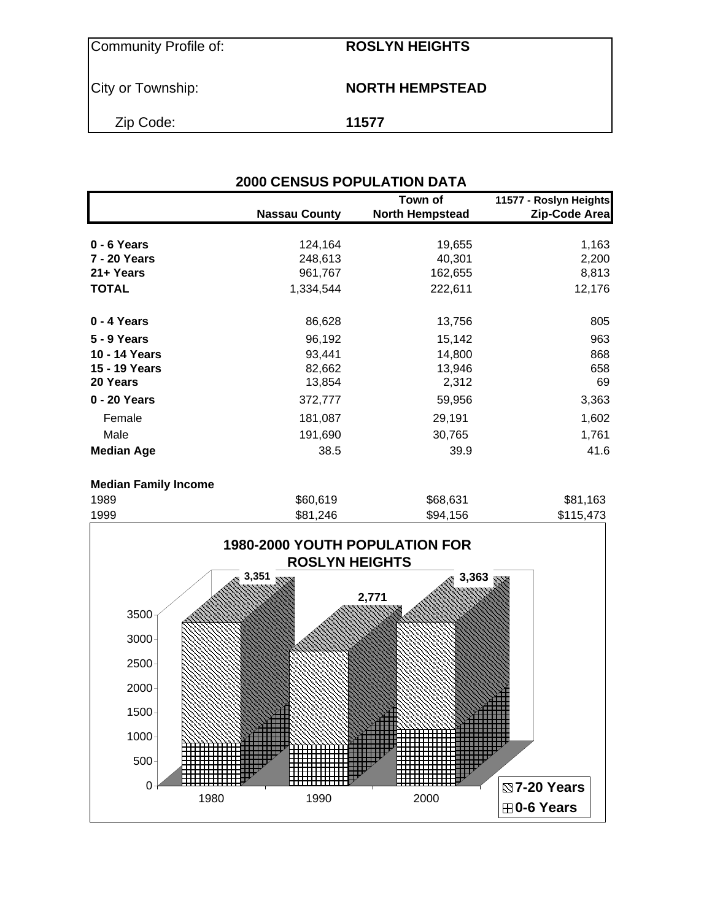Community Profile of: **ROSLYN HEIGHTS**

## **City or Township: NORTH HEMPSTEAD**

Zip Code: **11577**

|                   |                      | Town of                | 11577 - Roslyn Heights |
|-------------------|----------------------|------------------------|------------------------|
|                   | <b>Nassau County</b> | <b>North Hempstead</b> | Zip-Code Area          |
| 0 - 6 Years       | 124,164              | 19,655                 | 1,163                  |
| 7 - 20 Years      | 248,613              | 40,301                 | 2,200                  |
| 21+ Years         | 961,767              | 162,655                | 8,813                  |
| <b>TOTAL</b>      | 1,334,544            | 222,611                | 12,176                 |
| 0 - 4 Years       | 86,628               | 13,756                 | 805                    |
| 5 - 9 Years       | 96,192               | 15,142                 | 963                    |
| 10 - 14 Years     | 93,441               | 14,800                 | 868                    |
| 15 - 19 Years     | 82,662               | 13,946                 | 658                    |
| 20 Years          | 13,854               | 2,312                  | 69                     |
| 0 - 20 Years      | 372,777              | 59,956                 | 3,363                  |
| Female            | 181,087              | 29,191                 | 1,602                  |
| Male              | 191,690              | 30,765                 | 1,761                  |
| <b>Median Age</b> | 38.5                 | 39.9                   | 41.6                   |

#### **Median Family Income**

| 1989 | \$60,619 | \$68,631 | \$81,163  |
|------|----------|----------|-----------|
| 1999 | \$81,246 | \$94,156 | \$115,473 |

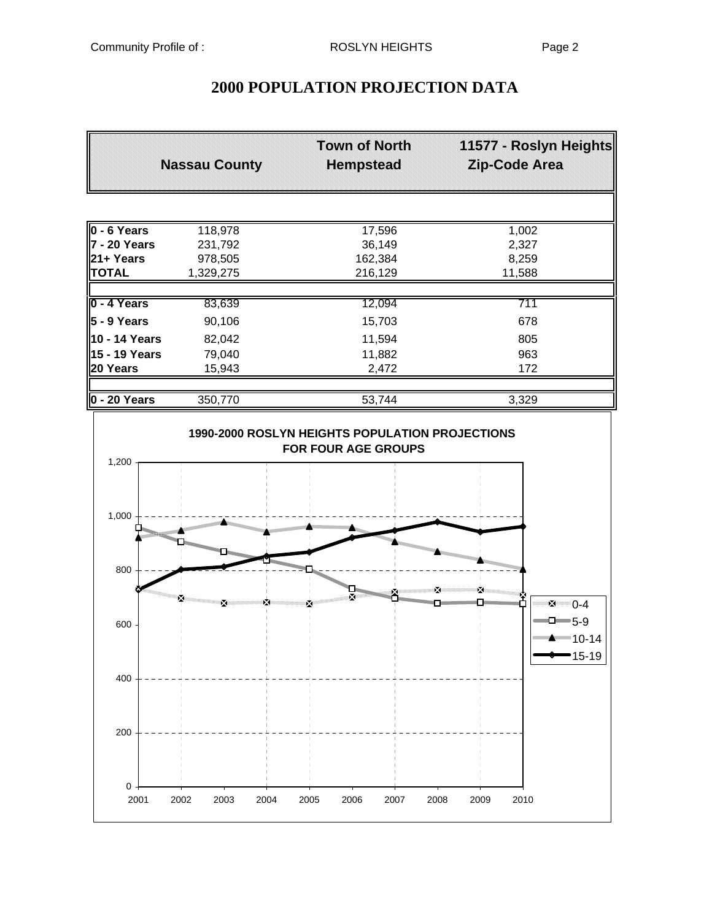## **2000 POPULATION PROJECTION DATA**

|                          | <b>Town of North</b><br><b>Nassau County</b><br><b>Hempstead</b> |         | 11577 - Roslyn Heights<br>Zip-Code Area |
|--------------------------|------------------------------------------------------------------|---------|-----------------------------------------|
|                          |                                                                  |         |                                         |
| $\overline{0 - 6}$ Years | 118,978                                                          | 17,596  | 1,002                                   |
|                          | 231,792                                                          | 36,149  | 2,327                                   |
| $ 21 + Y$ ears           | 978,505                                                          | 162,384 | 8,259                                   |
| <b>TOTAL</b>             | 1,329,275                                                        | 216,129 | 11,588                                  |
|                          |                                                                  |         |                                         |
| 0 - 4 Years              | 83,639                                                           | 12,094  | 711                                     |
| $5 - 9$ Years            | 90,106                                                           | 15,703  | 678                                     |
| 10 - 14 Years            | 82,042                                                           | 11,594  | 805                                     |
| ∥15 - 19 Years           | 79,040                                                           | 11,882  | 963                                     |
| 20 Years                 | 15,943                                                           | 2,472   | 172                                     |
|                          |                                                                  |         |                                         |
| $\ 0 - 20$ Years         | 350,770                                                          | 53,744  | 3,329                                   |

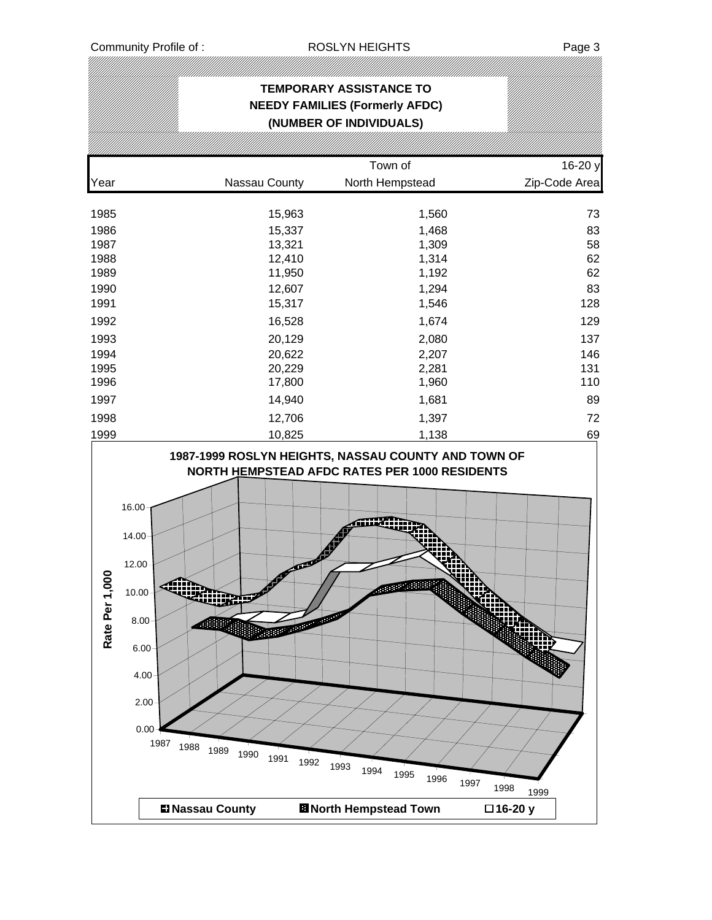### **TEMPORARY ASSISTANCE TO NEEDY FAMILIES (Formerly AFDC) (NUMBER OF INDIVIDUALS)**

|      |               | Town of                                                                                                     | 16-20 y       |
|------|---------------|-------------------------------------------------------------------------------------------------------------|---------------|
| Year | Nassau County | North Hempstead                                                                                             | Zip-Code Area |
| 1985 | 15,963        | 1,560                                                                                                       | 73            |
| 1986 | 15,337        | 1,468                                                                                                       | 83            |
| 1987 | 13,321        | 1,309                                                                                                       | 58            |
| 1988 | 12,410        | 1,314                                                                                                       | 62            |
| 1989 | 11,950        | 1,192                                                                                                       | 62            |
| 1990 | 12,607        | 1,294                                                                                                       | 83            |
| 1991 | 15,317        | 1,546                                                                                                       | 128           |
| 1992 | 16,528        | 1,674                                                                                                       | 129           |
| 1993 | 20,129        | 2,080                                                                                                       | 137           |
| 1994 | 20,622        | 2,207                                                                                                       | 146           |
| 1995 | 20,229        | 2,281                                                                                                       | 131           |
| 1996 | 17,800        | 1,960                                                                                                       | 110           |
| 1997 | 14,940        | 1,681                                                                                                       | 89            |
| 1998 | 12,706        | 1,397                                                                                                       | 72            |
| 1999 | 10,825        | 1,138                                                                                                       | 69            |
|      |               | 1987-1999 ROSLYN HEIGHTS, NASSAU COUNTY AND TOWN OF<br><b>NORTH HEMPSTEAD AFDC RATES PER 1000 RESIDENTS</b> |               |

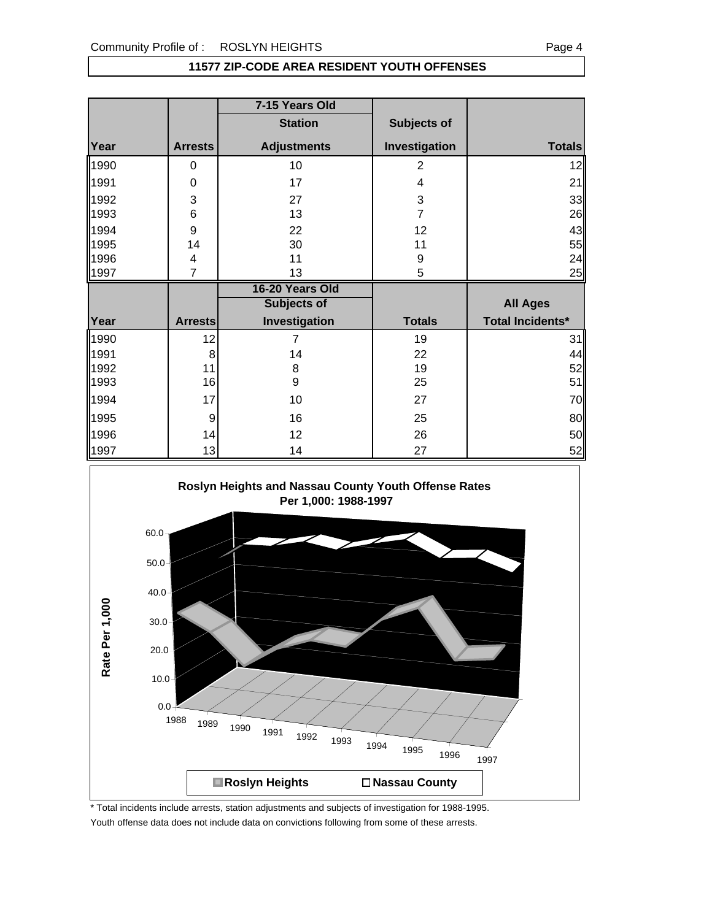#### **11577 ZIP-CODE AREA RESIDENT YOUTH OFFENSES**

|      |                | 7-15 Years Old     |                |                         |
|------|----------------|--------------------|----------------|-------------------------|
|      |                | <b>Station</b>     | Subjects of    |                         |
| Year | <b>Arrests</b> | <b>Adjustments</b> | Investigation  | <b>Totals</b>           |
| 1990 | 0              | 10                 | $\overline{2}$ | 12                      |
| 1991 | 0              | 17                 | 4              | 21                      |
| 1992 | 3              | 27                 | 3              | 33                      |
| 1993 | 6              | 13                 | $\overline{7}$ | 26                      |
| 1994 | 9              | 22                 | 12             | 43                      |
| 1995 | 14             | 30                 | 11             | 55                      |
| 1996 | 4              | 11                 | 9              | 24                      |
| 1997 | $\overline{7}$ | 13                 | 5              | 25                      |
|      |                |                    |                |                         |
|      |                | 16-20 Years Old    |                |                         |
|      |                | Subjects of        |                | <b>All Ages</b>         |
| Year | <b>Arrests</b> | Investigation      | <b>Totals</b>  | <b>Total Incidents*</b> |
| 1990 | 12             | 7                  | 19             | 31                      |
| 1991 | 8              | 14                 | 22             | 44                      |
| 1992 | 11             | 8                  | 19             | 52                      |
| 1993 | 16             | 9                  | 25             | 51                      |
| 1994 | 17             | 10                 | 27             |                         |
| 1995 | 9              | 16                 | 25             | 70<br>80                |
| 1996 | 14             | 12                 | 26             | 50                      |



\* Total incidents include arrests, station adjustments and subjects of investigation for 1988-1995. Youth offense data does not include data on convictions following from some of these arrests.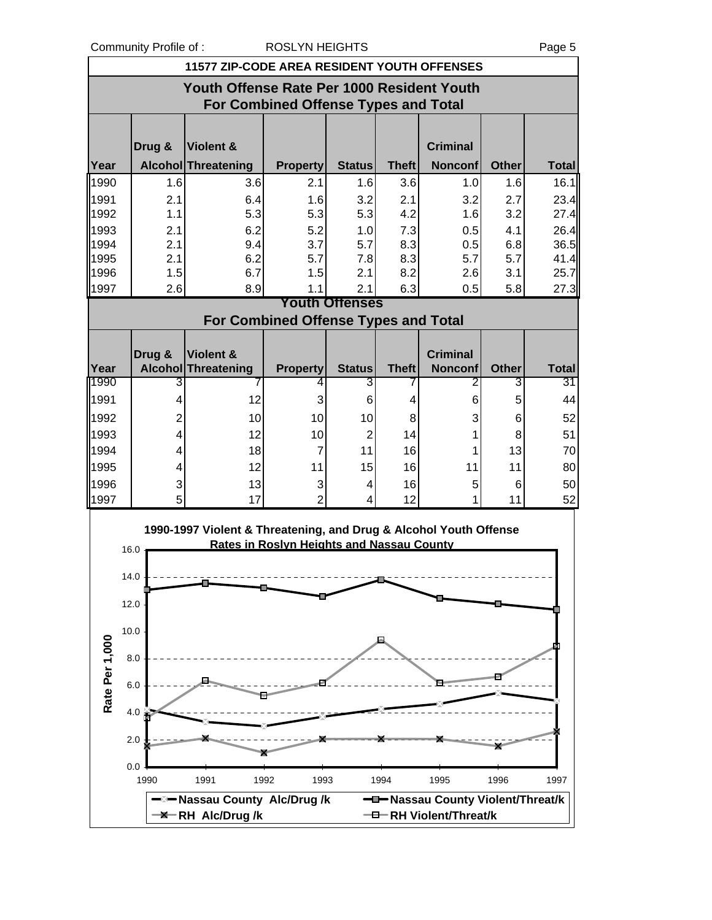Community Profile of : ROSLYN HEIGHTS Page 5

|                | Community Profile of : |                                                                   | RUSLYN HEIGHTS                                   |                              |              |                 |              | Page 5       |
|----------------|------------------------|-------------------------------------------------------------------|--------------------------------------------------|------------------------------|--------------|-----------------|--------------|--------------|
|                |                        | <b>11577 ZIP-CODE AREA RESIDENT YOUTH OFFENSES</b>                |                                                  |                              |              |                 |              |              |
|                |                        | Youth Offense Rate Per 1000 Resident Youth                        |                                                  |                              |              |                 |              |              |
|                |                        |                                                                   | <b>For Combined Offense Types and Total</b>      |                              |              |                 |              |              |
|                |                        |                                                                   |                                                  |                              |              |                 |              |              |
|                | Drug &                 | Violent &                                                         |                                                  |                              |              | <b>Criminal</b> |              |              |
| Year           |                        | <b>Alcohol Threatening</b>                                        | <b>Property</b>                                  | <b>Status</b>                | <b>Theft</b> | <b>Nonconf</b>  | <b>Other</b> | <b>Total</b> |
| 1990           | 1.6                    | 3.6                                                               | 2.1                                              | 1.6                          | 3.6          | 1.0             | 1.6          | 16.1         |
| 1991           | 2.1                    | 6.4                                                               | 1.6                                              | 3.2                          | 2.1          | 3.2             | 2.7          | 23.4         |
| 1992           | 1.1                    | 5.3                                                               | 5.3                                              | 5.3                          | 4.2          | 1.6             | 3.2          | 27.4         |
| 1993           | 2.1                    | 6.2                                                               | 5.2                                              | 1.0                          | 7.3          | 0.5             | 4.1          | 26.4         |
| 1994           | 2.1                    | 9.4                                                               | 3.7                                              | 5.7                          | 8.3          | 0.5             | 6.8          | 36.5         |
| 1995           | 2.1                    | 6.2                                                               | 5.7                                              | 7.8                          | 8.3          | 5.7             | 5.7          | 41.4         |
| 1996           | 1.5                    | 6.7                                                               | 1.5                                              | 2.1                          | 8.2          | 2.6             | 3.1          | 25.7         |
| 1997           | 2.6                    | 8.9                                                               | 1.1                                              | 2.1<br><b>Youth Offenses</b> | 6.3          | 0.5             | 5.8          | 27.3         |
|                |                        |                                                                   | For Combined Offense Types and Total             |                              |              |                 |              |              |
|                |                        |                                                                   |                                                  |                              |              |                 |              |              |
|                | Drug &                 | <b>Violent &amp;</b>                                              |                                                  |                              |              | <b>Criminal</b> |              |              |
| Year           |                        | <b>Alcohol Threatening</b>                                        | <b>Property</b>                                  | <b>Status</b>                | <b>Theft</b> | <b>Nonconf</b>  | <b>Other</b> | <b>Total</b> |
| 1990           | 3                      |                                                                   | 4                                                | 3                            |              | 2               | 3            | 31           |
| 1991           | 4                      | 12                                                                | 3                                                | 6                            | 4            | 6               | 5            | 44           |
| 1992           | 2                      | 10                                                                | 10                                               | 10                           | 8            | 3               | 6            | 52           |
| 1993           | 4                      | 12                                                                | 10                                               | $\overline{2}$               | 14           | 1               | 8            | 51           |
| 1994           | 4                      | 18                                                                | 7                                                | 11                           | 16           | 1               | 13           | 70           |
| 1995           | 4                      | 12                                                                | 11                                               | 15                           | 16           | 11              | 11           | 80           |
| 1996           | 3                      | 13                                                                | 3                                                | 4                            | 16           | 5               | 6            | 50           |
| 1997           | 5                      | 17                                                                | $\overline{2}$                                   | 4                            | 12           | 1               | 11           | 52           |
|                |                        |                                                                   |                                                  |                              |              |                 |              |              |
|                |                        | 1990-1997 Violent & Threatening, and Drug & Alcohol Youth Offense | <b>Rates in Roslyn Heights and Nassau County</b> |                              |              |                 |              |              |
|                | 16.0                   |                                                                   |                                                  |                              |              |                 |              |              |
|                | 14.0                   |                                                                   |                                                  |                              |              |                 |              |              |
|                |                        |                                                                   |                                                  |                              |              |                 |              |              |
|                | 12.0                   |                                                                   |                                                  |                              |              |                 |              |              |
|                | 10.0                   |                                                                   |                                                  |                              |              |                 |              |              |
|                |                        |                                                                   |                                                  |                              |              |                 |              |              |
|                | 8.0                    |                                                                   |                                                  |                              |              |                 |              |              |
| Rate Per 1,000 | 6.0                    |                                                                   |                                                  |                              |              |                 |              |              |
|                |                        |                                                                   |                                                  |                              |              |                 |              |              |
|                | 4.0                    |                                                                   |                                                  |                              |              |                 |              |              |

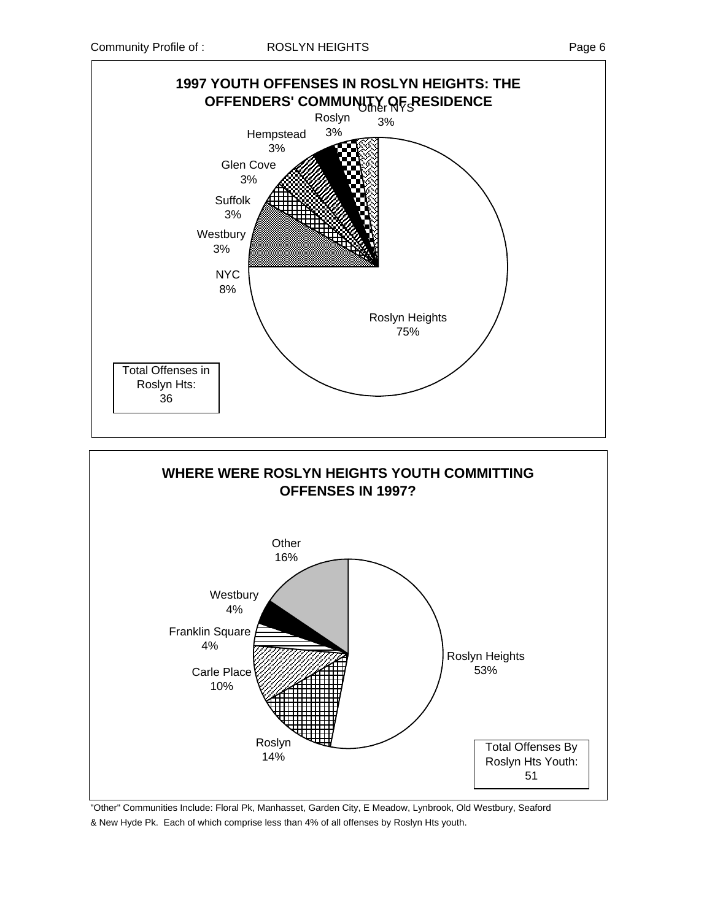



"Other" Communities Include: Floral Pk, Manhasset, Garden City, E Meadow, Lynbrook, Old Westbury, Seaford & New Hyde Pk. Each of which comprise less than 4% of all offenses by Roslyn Hts youth.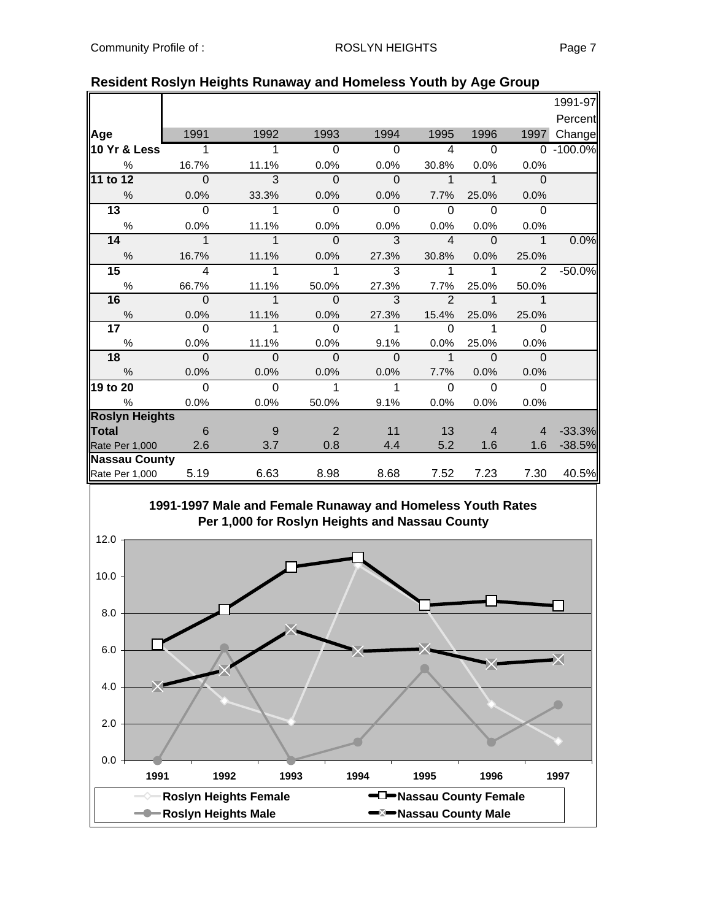|                       |                         |              |                |              |                |                          |                | 1991-97       |
|-----------------------|-------------------------|--------------|----------------|--------------|----------------|--------------------------|----------------|---------------|
|                       |                         |              |                |              |                |                          |                | Percent       |
| Age                   | 1991                    | 1992         | 1993           | 1994         | 1995           | 1996                     | 1997           | Change        |
| 10 Yr & Less          | 1                       | 1            | $\Omega$       | $\Omega$     | 4              | $\overline{0}$           |                | $0 - 100.0\%$ |
| %                     | 16.7%                   | 11.1%        | 0.0%           | 0.0%         | 30.8%          | 0.0%                     | 0.0%           |               |
| 11 to 12              | $\overline{0}$          | 3            | $\mathbf 0$    | $\mathbf{0}$ | $\mathbf{1}$   | $\mathbf 1$              | $\Omega$       |               |
| $\%$                  | 0.0%                    | 33.3%        | 0.0%           | 0.0%         | 7.7%           | 25.0%                    | 0.0%           |               |
| $\overline{13}$       | $\overline{0}$          | 1            | $\Omega$       | $\Omega$     | $\Omega$       | $\Omega$                 | $\Omega$       |               |
| %                     | 0.0%                    | 11.1%        | 0.0%           | 0.0%         | 0.0%           | 0.0%                     | 0.0%           |               |
| 14                    | $\mathbf{1}$            | $\mathbf{1}$ | $\mathbf{0}$   | 3            | $\overline{4}$ | $\overline{\phantom{0}}$ | $\mathbf 1$    | 0.0%          |
| $\%$                  | 16.7%                   | 11.1%        | 0.0%           | 27.3%        | 30.8%          | 0.0%                     | 25.0%          |               |
| $15\,$                | $\overline{\mathbf{4}}$ | 1            | 1              | 3            | 1              | 1                        | 2              | $-50.0%$      |
| $\%$                  | 66.7%                   | 11.1%        | 50.0%          | 27.3%        | 7.7%           | 25.0%                    | 50.0%          |               |
| 16                    | $\overline{0}$          | $\mathbf{1}$ | $\overline{0}$ | 3            | $\overline{2}$ | $\mathbf 1$              | $\mathbf 1$    |               |
| %                     | 0.0%                    | 11.1%        | 0.0%           | 27.3%        | 15.4%          | 25.0%                    | 25.0%          |               |
| 17 <sub>1</sub>       | $\Omega$                | 1            | $\Omega$       | 1            | $\Omega$       | 1                        | $\Omega$       |               |
| $\%$                  | 0.0%                    | 11.1%        | 0.0%           | 9.1%         | 0.0%           | 25.0%                    | 0.0%           |               |
| 18                    | $\Omega$                | $\Omega$     | $\Omega$       | $\Omega$     | $\mathbf 1$    | $\Omega$                 | $\Omega$       |               |
| $\frac{0}{0}$         | 0.0%                    | 0.0%         | 0.0%           | 0.0%         | 7.7%           | 0.0%                     | 0.0%           |               |
| 19 to 20              | $\Omega$                | $\mathbf 0$  | 1              | $\mathbf{1}$ | $\Omega$       | $\Omega$                 | $\Omega$       |               |
| $\%$                  | 0.0%                    | 0.0%         | 50.0%          | 9.1%         | 0.0%           | 0.0%                     | 0.0%           |               |
| <b>Roslyn Heights</b> |                         |              |                |              |                |                          |                |               |
| <b>Total</b>          | $6\overline{6}$         | 9            | 2              | 11           | 13             | $\overline{4}$           | $\overline{4}$ | $-33.3%$      |
| Rate Per 1,000 2.6    |                         | 3.7          | 0.8            | 4.4          | 5.2            | 1.6                      | 1.6            | $-38.5%$      |
| <b>Nassau County</b>  |                         |              |                |              |                |                          |                |               |
| Rate Per 1,000        | 5.19                    | 6.63         | 8.98           | 8.68         | 7.52           | 7.23                     | 7.30           | 40.5%         |

#### **Resident Roslyn Heights Runaway and Homeless Youth by Age Group**

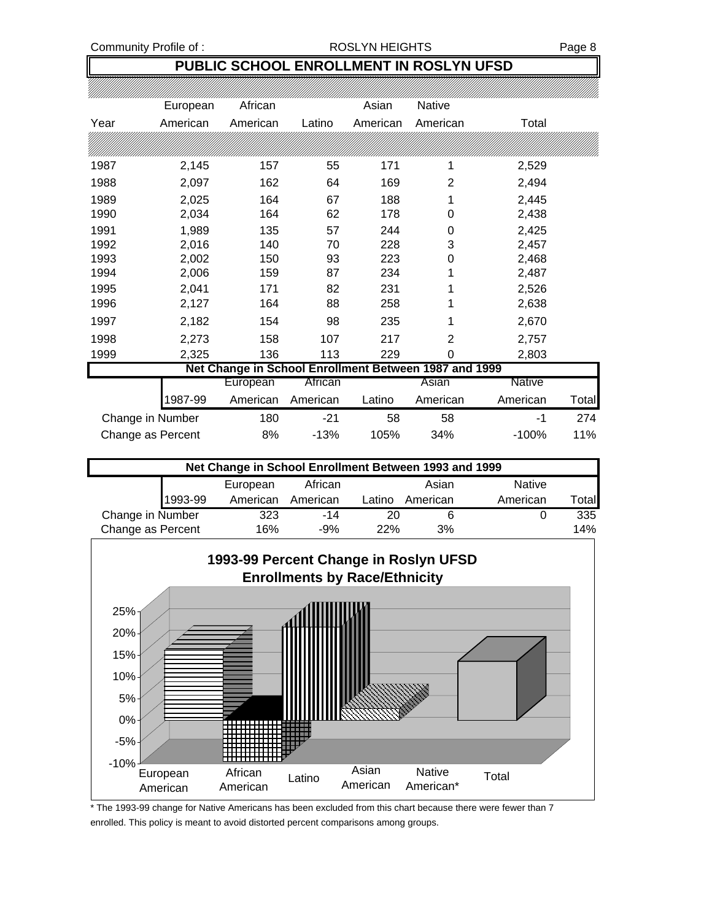## **PUBLIC SCHOOL ENROLLMENT IN ROSLYN UFSD**

|      | European          | African                                               |          | Asian    | <b>Native</b>  |               |       |
|------|-------------------|-------------------------------------------------------|----------|----------|----------------|---------------|-------|
| Year | American          | American                                              | Latino   | American | American       | Total         |       |
|      |                   |                                                       |          |          |                |               |       |
| 1987 | 2,145             | 157                                                   | 55       | 171      | 1              | 2,529         |       |
| 1988 | 2,097             | 162                                                   | 64       | 169      | 2              | 2,494         |       |
| 1989 | 2,025             | 164                                                   | 67       | 188      | 1              | 2,445         |       |
| 1990 | 2,034             | 164                                                   | 62       | 178      | 0              | 2,438         |       |
| 1991 | 1,989             | 135                                                   | 57       | 244      | 0              | 2,425         |       |
| 1992 | 2,016             | 140                                                   | 70       | 228      | 3              | 2,457         |       |
| 1993 | 2,002             | 150                                                   | 93       | 223      | 0              | 2,468         |       |
| 1994 | 2,006             | 159                                                   | 87       | 234      | 1              | 2,487         |       |
| 1995 | 2,041             | 171                                                   | 82       | 231      | 1              | 2,526         |       |
| 1996 | 2,127             | 164                                                   | 88       | 258      | 1              | 2,638         |       |
| 1997 | 2,182             | 154                                                   | 98       | 235      | 1              | 2,670         |       |
| 1998 | 2,273             | 158                                                   | 107      | 217      | $\overline{2}$ | 2,757         |       |
| 1999 | 2,325             | 136                                                   | 113      | 229      | 0              | 2,803         |       |
|      |                   | Net Change in School Enrollment Between 1987 and 1999 |          |          |                |               |       |
|      |                   | European                                              | African  |          | Asian          | <b>Native</b> |       |
|      | 1987-99           | American                                              | American | Latino   | American       | American      | Total |
|      | Change in Number  | 180                                                   | $-21$    | 58       | 58             | -1            | 274   |
|      | Change as Percent | 8%                                                    | $-13%$   | 105%     | 34%            | $-100%$       | 11%   |

| Net Change in School Enrollment Between 1993 and 1999 |          |          |        |          |               |       |  |  |
|-------------------------------------------------------|----------|----------|--------|----------|---------------|-------|--|--|
|                                                       | European | African  |        | Asian    | <b>Native</b> |       |  |  |
| 1993-99                                               | American | American | Latino | American | American      | ™otal |  |  |
| Change in Number                                      | 323      | $-14$    | 20     |          |               | 335   |  |  |
| Change as Percent                                     | 16%      | $-9%$    | 22%    | 3%       |               | 14%   |  |  |



\* The 1993-99 change for Native Americans has been excluded from this chart because there were fewer than 7 enrolled. This policy is meant to avoid distorted percent comparisons among groups.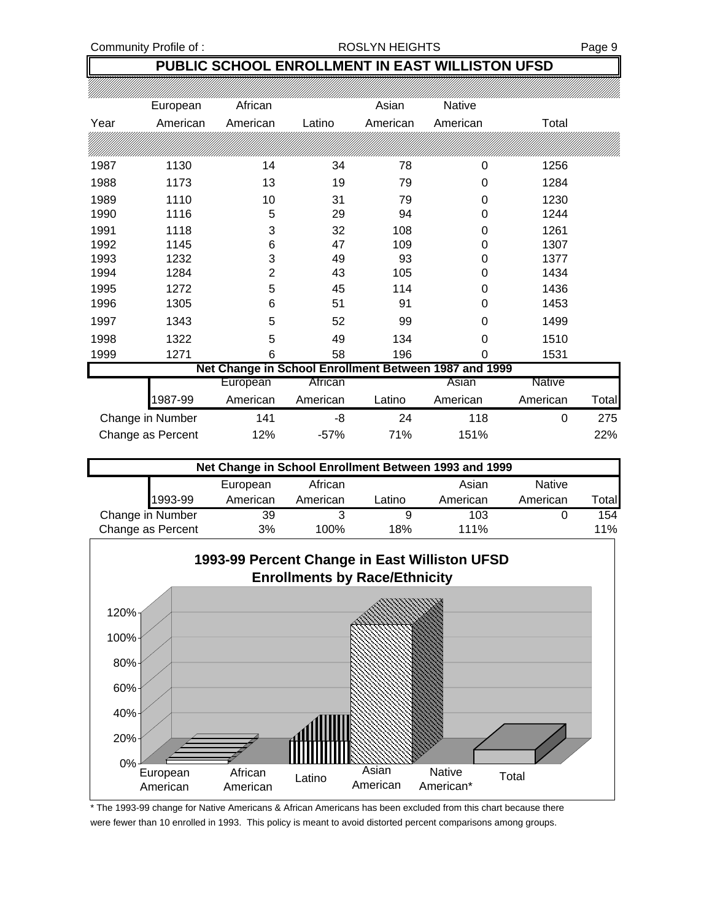Community Profile of : <br>
ROSLYN HEIGHTS Fage 9

## **PUBLIC SCHOOL ENROLLMENT IN EAST WILLISTON UFSD**

|      | European          | African        |          | Asian    | <b>Native</b>                                         |               |       |
|------|-------------------|----------------|----------|----------|-------------------------------------------------------|---------------|-------|
| Year | American          | American       | Latino   | American | American                                              | Total         |       |
|      |                   |                |          |          |                                                       |               |       |
| 1987 | 1130              | 14             | 34       | 78       | 0                                                     | 1256          |       |
| 1988 | 1173              | 13             | 19       | 79       | 0                                                     | 1284          |       |
| 1989 | 1110              | 10             | 31       | 79       | 0                                                     | 1230          |       |
| 1990 | 1116              | 5              | 29       | 94       | 0                                                     | 1244          |       |
| 1991 | 1118              | 3              | 32       | 108      | 0                                                     | 1261          |       |
| 1992 | 1145              | 6              | 47       | 109      | 0                                                     | 1307          |       |
| 1993 | 1232              | 3              | 49       | 93       | 0                                                     | 1377          |       |
| 1994 | 1284              | $\overline{2}$ | 43       | 105      | 0                                                     | 1434          |       |
| 1995 | 1272              | 5              | 45       | 114      | 0                                                     | 1436          |       |
| 1996 | 1305              | 6              | 51       | 91       | 0                                                     | 1453          |       |
| 1997 | 1343              | 5              | 52       | 99       | 0                                                     | 1499          |       |
| 1998 | 1322              | 5              | 49       | 134      | $\Omega$                                              | 1510          |       |
| 1999 | 1271              | 6              | 58       | 196      | 0                                                     | 1531          |       |
|      |                   |                |          |          | Net Change in School Enrollment Between 1987 and 1999 |               |       |
|      |                   | European       | African  |          | Asian                                                 | <b>Native</b> |       |
|      | 1987-99           | American       | American | Latino   | American                                              | American      | Total |
|      | Change in Number  | 141            | -8       | 24       | 118                                                   | 0             | 275   |
|      | Change as Percent | 12%            | $-57%$   | 71%      | 151%                                                  |               | 22%   |

| Net Change in School Enrollment Between 1993 and 1999 |          |          |        |          |               |       |  |  |
|-------------------------------------------------------|----------|----------|--------|----------|---------------|-------|--|--|
|                                                       | European | African  |        | Asian    | <b>Native</b> |       |  |  |
| 1993-99                                               | American | American | ∟atino | American | American      | Total |  |  |
| Change in Number                                      | 39       |          |        | 103      |               | 154   |  |  |
| Change as Percent                                     | 3%       | 100%     | 18%    | 111%     |               | 11%   |  |  |



\* The 1993-99 change for Native Americans & African Americans has been excluded from this chart because there were fewer than 10 enrolled in 1993. This policy is meant to avoid distorted percent comparisons among groups.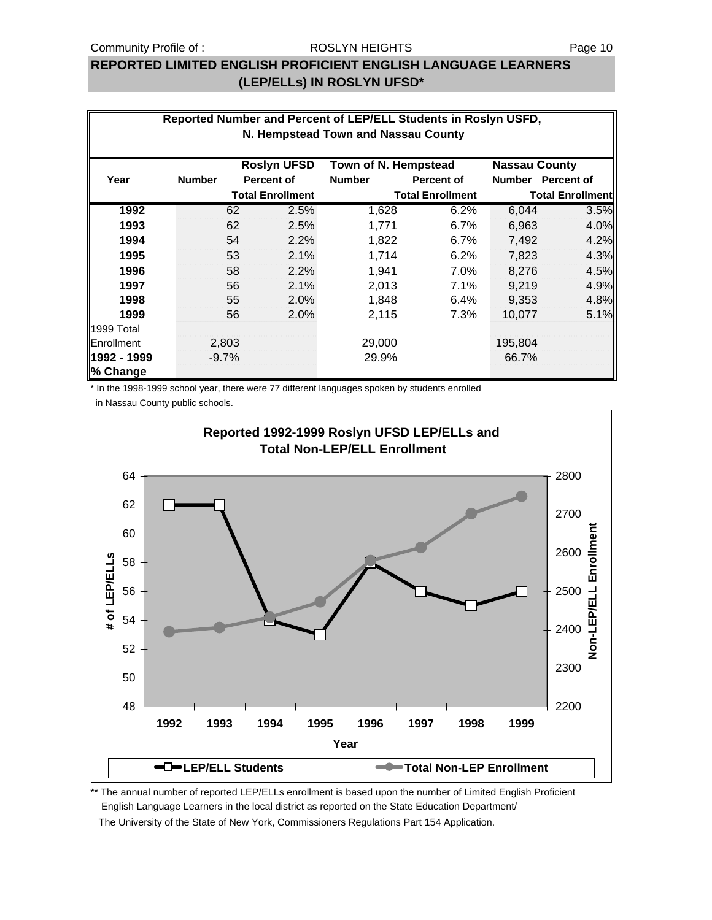## **REPORTED LIMITED ENGLISH PROFICIENT ENGLISH LANGUAGE LEARNERS (LEP/ELLs) IN ROSLYN UFSD\***

| Reported Number and Percent of LEP/ELL Students in Roslyn USFD,<br>N. Hempstead Town and Nassau County |               |         |                         |                      |                         |                      |                         |  |
|--------------------------------------------------------------------------------------------------------|---------------|---------|-------------------------|----------------------|-------------------------|----------------------|-------------------------|--|
|                                                                                                        |               |         | <b>Roslyn UFSD</b>      | Town of N. Hempstead |                         | <b>Nassau County</b> |                         |  |
| Year                                                                                                   | <b>Number</b> |         | <b>Percent of</b>       | <b>Number</b>        | <b>Percent of</b>       |                      | Number Percent of       |  |
|                                                                                                        |               |         | <b>Total Enrollment</b> |                      | <b>Total Enrollment</b> |                      | <b>Total Enrollment</b> |  |
| 1992                                                                                                   |               | 62      | 2.5%                    | 1,628                | 6.2%                    | 6,044                | 3.5%                    |  |
| 1993                                                                                                   |               | 62      | 2.5%                    | 1,771                | 6.7%                    | 6,963                | 4.0%                    |  |
| 1994                                                                                                   |               | 54      | 2.2%                    | 1,822                | 6.7%                    | 7,492                | 4.2%                    |  |
| 1995                                                                                                   |               | 53      | 2.1%                    | 1,714                | 6.2%                    | 7,823                | 4.3%                    |  |
| 1996                                                                                                   |               | 58      | 2.2%                    | 1,941                | 7.0%                    | 8.276                | 4.5%                    |  |
| 1997                                                                                                   |               | 56      | 2.1%                    | 2,013                | 7.1%                    | 9,219                | 4.9%                    |  |
| 1998                                                                                                   |               | 55      | 2.0%                    | 1,848                | 6.4%                    | 9,353                | 4.8%                    |  |
| 1999                                                                                                   |               | 56      | 2.0%                    | 2,115                | 7.3%                    | 10,077               | 5.1%                    |  |
| 1999 Total                                                                                             |               |         |                         |                      |                         |                      |                         |  |
| Enrollment                                                                                             |               | 2,803   |                         | 29,000               |                         | 195,804              |                         |  |
| 1992 - 1999<br>% Change                                                                                |               | $-9.7%$ |                         | 29.9%                |                         | 66.7%                |                         |  |

\* In the 1998-1999 school year, there were 77 different languages spoken by students enrolled

in Nassau County public schools.



\*\* The annual number of reported LEP/ELLs enrollment is based upon the number of Limited English Proficient English Language Learners in the local district as reported on the State Education Department/ The University of the State of New York, Commissioners Regulations Part 154 Application.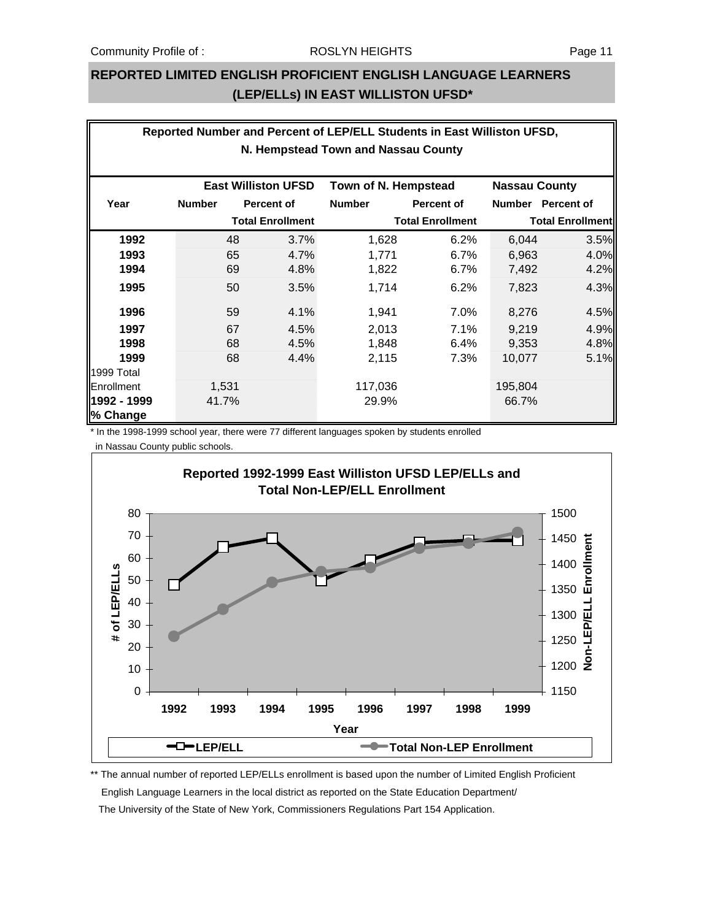### **REPORTED LIMITED ENGLISH PROFICIENT ENGLISH LANGUAGE LEARNERS (LEP/ELLs) IN EAST WILLISTON UFSD\***

| Reported Number and Percent of LEP/ELL Students in East Williston UFSD, |               |                         |                            |                         |                   |                         |                   |  |  |
|-------------------------------------------------------------------------|---------------|-------------------------|----------------------------|-------------------------|-------------------|-------------------------|-------------------|--|--|
| N. Hempstead Town and Nassau County                                     |               |                         |                            |                         |                   |                         |                   |  |  |
|                                                                         |               |                         | <b>East Williston UFSD</b> | Town of N. Hempstead    |                   | <b>Nassau County</b>    |                   |  |  |
| Year                                                                    | <b>Number</b> |                         | <b>Percent of</b>          | <b>Number</b>           | <b>Percent of</b> |                         | Number Percent of |  |  |
|                                                                         |               | <b>Total Enrollment</b> |                            | <b>Total Enrollment</b> |                   | <b>Total Enrollment</b> |                   |  |  |
| 1992                                                                    |               | 48                      | 3.7%                       | 1,628                   | 6.2%              | 6,044                   | 3.5%              |  |  |
| 1993                                                                    |               | 65                      | 4.7%                       | 1,771                   | 6.7%              | 6,963                   | 4.0%              |  |  |
| 1994                                                                    |               | 69                      | 4.8%                       | 1,822                   | 6.7%              | 7,492                   | 4.2%              |  |  |
| 1995                                                                    |               | 50                      | 3.5%                       | 1,714                   | 6.2%              | 7,823                   | 4.3%              |  |  |
| 1996                                                                    |               | 59                      | 4.1%                       | 1,941                   | 7.0%              | 8,276                   | 4.5%              |  |  |
| 1997                                                                    |               | 67                      | 4.5%                       | 2,013                   | 7.1%              | 9,219                   | 4.9%              |  |  |
| 1998                                                                    |               | 68                      | 4.5%                       | 1,848                   | 6.4%              | 9,353                   | 4.8%              |  |  |
| 1999                                                                    |               | 68                      | 4.4%                       | 2,115                   | 7.3%              | 10,077                  | 5.1%              |  |  |
| 1999 Total                                                              |               |                         |                            |                         |                   |                         |                   |  |  |
| Enrollment                                                              |               | 1,531                   |                            | 117,036                 |                   | 195,804                 |                   |  |  |
| 1992 - 1999<br>% Change                                                 |               | 41.7%                   |                            | 29.9%                   |                   | 66.7%                   |                   |  |  |

\* In the 1998-1999 school year, there were 77 different languages spoken by students enrolled in Nassau County public schools.



\*\* The annual number of reported LEP/ELLs enrollment is based upon the number of Limited English Proficient English Language Learners in the local district as reported on the State Education Department/ The University of the State of New York, Commissioners Regulations Part 154 Application.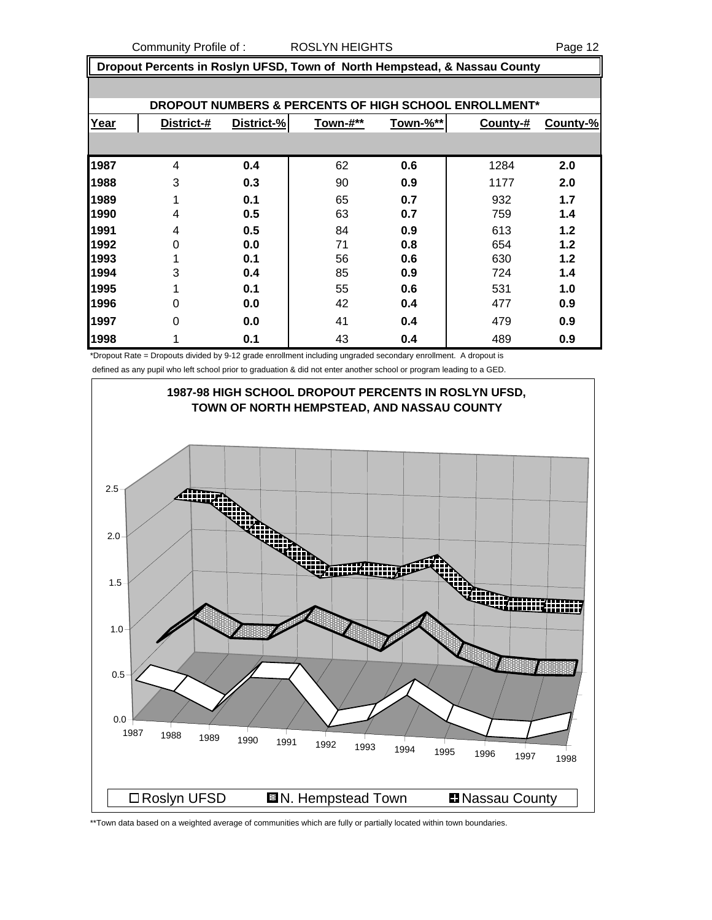Community Profile of : ROSLYN HEIGHTS **Page 12** 

 **Dropout Percents in Roslyn UFSD, Town of North Hempstead, & Nassau County**

| DROPOUT NUMBERS & PERCENTS OF HIGH SCHOOL ENROLLMENT* |            |            |          |          |          |          |  |  |  |  |
|-------------------------------------------------------|------------|------------|----------|----------|----------|----------|--|--|--|--|
| Year                                                  | District-# | District-% | Town-#** | Town-%** | County-# | County-% |  |  |  |  |
|                                                       |            |            |          |          |          |          |  |  |  |  |
| 1987                                                  | 4          | 0.4        | 62       | 0.6      | 1284     | 2.0      |  |  |  |  |
| 1988                                                  | 3          | 0.3        | 90       | 0.9      | 1177     | 2.0      |  |  |  |  |
| 1989                                                  |            | 0.1        | 65       | 0.7      | 932      | 1.7      |  |  |  |  |
| 1990                                                  | 4          | 0.5        | 63       | 0.7      | 759      | 1.4      |  |  |  |  |
| 1991                                                  | 4          | 0.5        | 84       | 0.9      | 613      | 1.2      |  |  |  |  |
| 1992                                                  | 0          | 0.0        | 71       | 0.8      | 654      | 1.2      |  |  |  |  |
| 1993                                                  |            | 0.1        | 56       | 0.6      | 630      | 1.2      |  |  |  |  |
| 1994                                                  | 3          | 0.4        | 85       | 0.9      | 724      | 1.4      |  |  |  |  |
| 1995                                                  |            | 0.1        | 55       | 0.6      | 531      | 1.0      |  |  |  |  |
| 1996                                                  | 0          | 0.0        | 42       | 0.4      | 477      | 0.9      |  |  |  |  |
| 1997                                                  | $\Omega$   | 0.0        | 41       | 0.4      | 479      | 0.9      |  |  |  |  |
| 1998                                                  |            | 0.1        | 43       | 0.4      | 489      | 0.9      |  |  |  |  |

\*Dropout Rate = Dropouts divided by 9-12 grade enrollment including ungraded secondary enrollment. A dropout is

defined as any pupil who left school prior to graduation & did not enter another school or program leading to a GED.



\*\*Town data based on a weighted average of communities which are fully or partially located within town boundaries.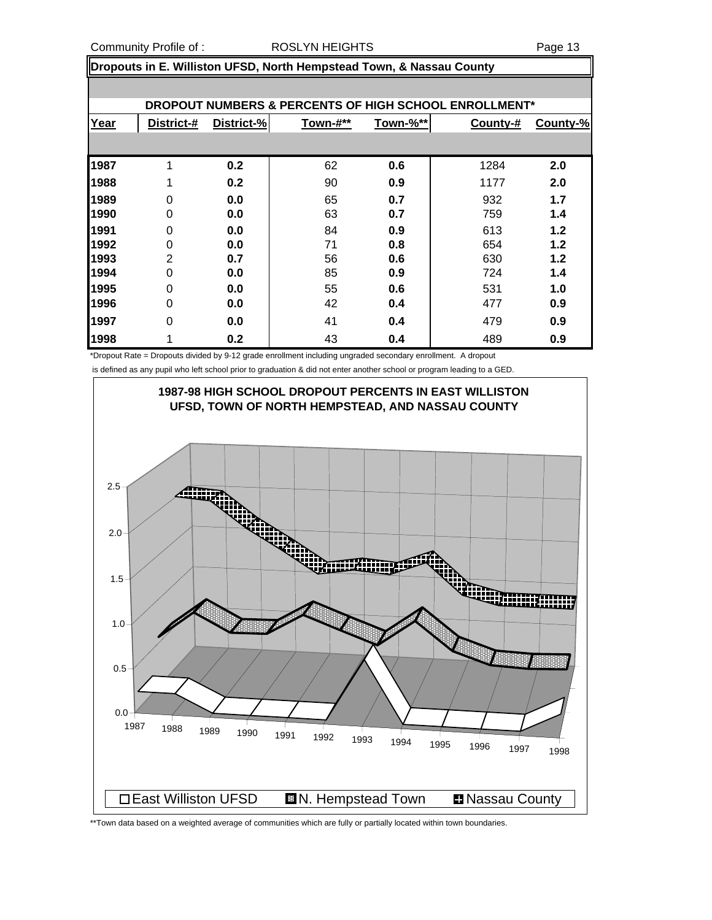#### Community Profile of : <br>
ROSLYN HEIGHTS 
RESERVIES 
RADIA Page 13

**Dropouts in E. Williston UFSD, North Hempstead Town, & Nassau County**

| DROPOUT NUMBERS & PERCENTS OF HIGH SCHOOL ENROLLMENT* |            |            |          |          |          |          |  |  |  |  |
|-------------------------------------------------------|------------|------------|----------|----------|----------|----------|--|--|--|--|
| Year                                                  | District-# | District-% | Town-#** | Town-%** | County-# | County-% |  |  |  |  |
|                                                       |            |            |          |          |          |          |  |  |  |  |
| 1987                                                  | 1          | 0.2        | 62       | 0.6      | 1284     | 2.0      |  |  |  |  |
| 1988                                                  | 1          | 0.2        | 90       | 0.9      | 1177     | 2.0      |  |  |  |  |
| 1989                                                  | 0          | 0.0        | 65       | 0.7      | 932      | 1.7      |  |  |  |  |
| 1990                                                  | 0          | 0.0        | 63       | 0.7      | 759      | 1.4      |  |  |  |  |
| 1991                                                  | 0          | 0.0        | 84       | 0.9      | 613      | $1.2$    |  |  |  |  |
| 1992                                                  | 0          | 0.0        | 71       | 0.8      | 654      | $1.2$    |  |  |  |  |
| 1993                                                  | 2          | 0.7        | 56       | 0.6      | 630      | $1.2$    |  |  |  |  |
| 1994                                                  | 0          | 0.0        | 85       | 0.9      | 724      | 1.4      |  |  |  |  |
| 1995                                                  | 0          | 0.0        | 55       | 0.6      | 531      | 1.0      |  |  |  |  |
| 1996                                                  | 0          | 0.0        | 42       | 0.4      | 477      | 0.9      |  |  |  |  |
| 1997                                                  | 0          | 0.0        | 41       | 0.4      | 479      | 0.9      |  |  |  |  |
| 1998                                                  |            | 0.2        | 43       | 0.4      | 489      | 0.9      |  |  |  |  |

\*Dropout Rate = Dropouts divided by 9-12 grade enrollment including ungraded secondary enrollment. A dropout

is defined as any pupil who left school prior to graduation & did not enter another school or program leading to a GED.



\*\*Town data based on a weighted average of communities which are fully or partially located within town boundaries.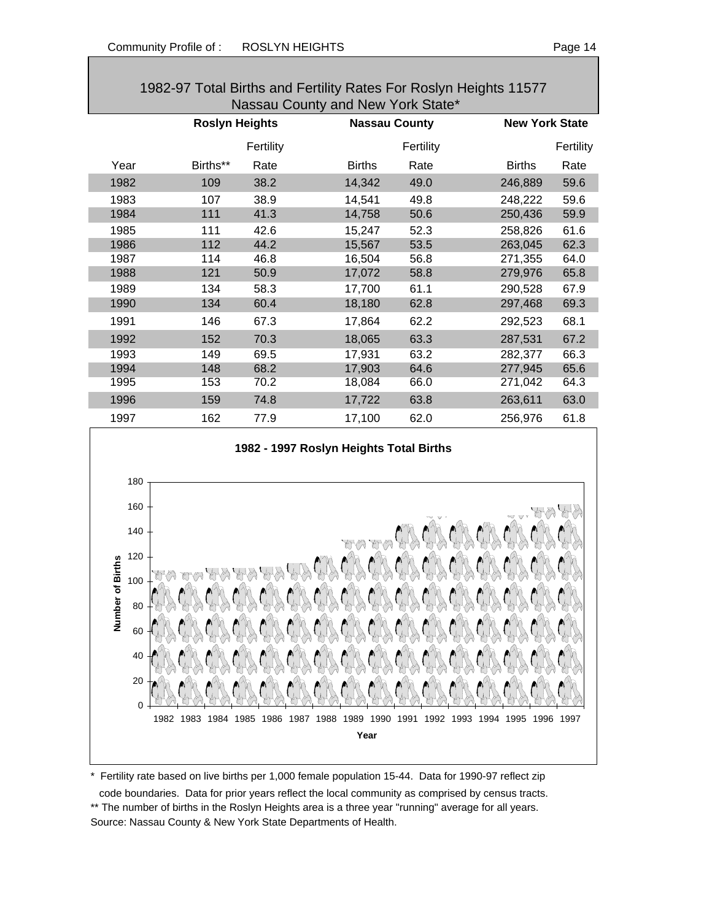| 1982-97 Total Births and Fertility Rates For Roslyn Heights 11577 |                                   |           |                      |           |               |                       |  |  |  |  |
|-------------------------------------------------------------------|-----------------------------------|-----------|----------------------|-----------|---------------|-----------------------|--|--|--|--|
|                                                                   | Nassau County and New York State* |           |                      |           |               |                       |  |  |  |  |
|                                                                   | <b>Roslyn Heights</b>             |           | <b>Nassau County</b> |           |               | <b>New York State</b> |  |  |  |  |
|                                                                   |                                   | Fertility |                      | Fertility |               | Fertility             |  |  |  |  |
| Year                                                              | Births**                          | Rate      | <b>Births</b>        | Rate      | <b>Births</b> | Rate                  |  |  |  |  |
| 1982                                                              | 109                               | 38.2      | 14,342               | 49.0      | 246,889       | 59.6                  |  |  |  |  |
| 1983                                                              | 107                               | 38.9      | 14,541               | 49.8      | 248,222       | 59.6                  |  |  |  |  |
| 1984                                                              | 111                               | 41.3      | 14,758               | 50.6      | 250,436       | 59.9                  |  |  |  |  |
| 1985                                                              | 111                               | 42.6      | 15,247               | 52.3      | 258,826       | 61.6                  |  |  |  |  |
| 1986                                                              | 112                               | 44.2      | 15,567               | 53.5      | 263,045       | 62.3                  |  |  |  |  |
| 1987                                                              | 114                               | 46.8      | 16,504               | 56.8      | 271,355       | 64.0                  |  |  |  |  |
| 1988                                                              | 121                               | 50.9      | 17,072               | 58.8      | 279,976       | 65.8                  |  |  |  |  |
| 1989                                                              | 134                               | 58.3      | 17,700               | 61.1      | 290,528       | 67.9                  |  |  |  |  |
| 1990                                                              | 134                               | 60.4      | 18,180               | 62.8      | 297,468       | 69.3                  |  |  |  |  |
| 1991                                                              | 146                               | 67.3      | 17,864               | 62.2      | 292,523       | 68.1                  |  |  |  |  |
| 1992                                                              | 152                               | 70.3      | 18,065               | 63.3      | 287,531       | 67.2                  |  |  |  |  |
| 1993                                                              | 149                               | 69.5      | 17,931               | 63.2      | 282,377       | 66.3                  |  |  |  |  |
| 1994                                                              | 148                               | 68.2      | 17,903               | 64.6      | 277,945       | 65.6                  |  |  |  |  |
| 1995                                                              | 153                               | 70.2      | 18,084               | 66.0      | 271,042       | 64.3                  |  |  |  |  |
| 1996                                                              | 159                               | 74.8      | 17,722               | 63.8      | 263,611       | 63.0                  |  |  |  |  |
| 1997                                                              | 162                               | 77.9      | 17,100               | 62.0      | 256,976       | 61.8                  |  |  |  |  |

#### **1982 - 1997 Roslyn Heights Total Births**



\* Fertility rate based on live births per 1,000 female population 15-44. Data for 1990-97 reflect zip

 code boundaries. Data for prior years reflect the local community as comprised by census tracts. \*\* The number of births in the Roslyn Heights area is a three year "running" average for all years. Source: Nassau County & New York State Departments of Health.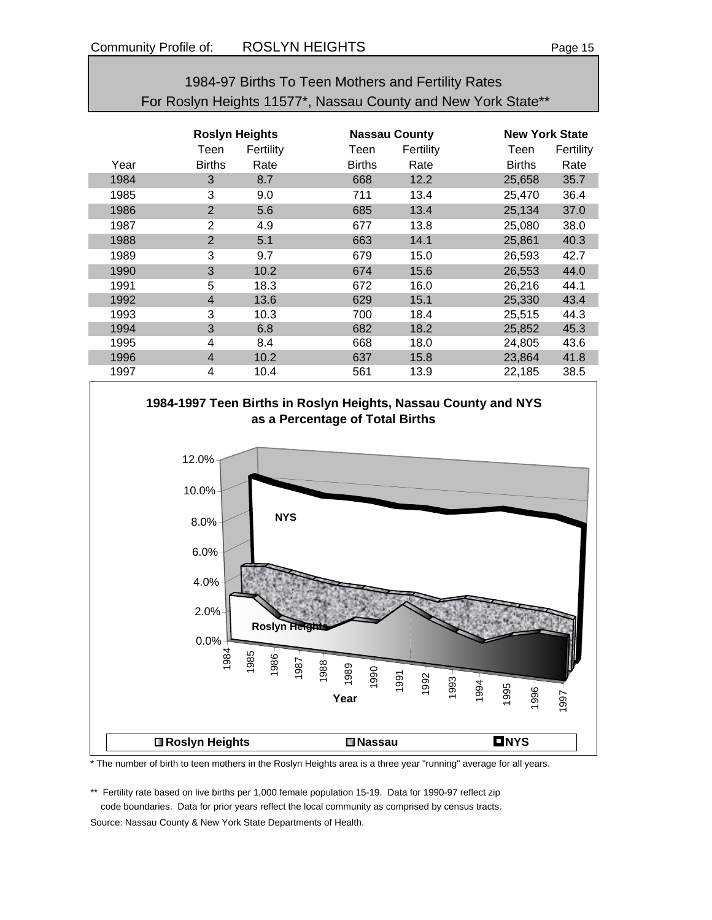| 1984-97 Births To Teen Mothers and Fertility Rates            |
|---------------------------------------------------------------|
| For Roslyn Heights 11577*, Nassau County and New York State** |

|      | <b>Roslyn Heights</b> |           |               | <b>Nassau County</b> |               | <b>New York State</b> |  |  |
|------|-----------------------|-----------|---------------|----------------------|---------------|-----------------------|--|--|
|      | Teen                  | Fertility | Teen          | Fertility            | Teen          | Fertility             |  |  |
| Year | <b>Births</b>         | Rate      | <b>Births</b> | Rate                 | <b>Births</b> | Rate                  |  |  |
| 1984 | 3                     | 8.7       | 668           | 12.2                 | 25,658        | 35.7                  |  |  |
| 1985 | 3                     | 9.0       | 711           | 13.4                 | 25,470        | 36.4                  |  |  |
| 1986 | 2                     | 5.6       | 685           | 13.4                 | 25,134        | 37.0                  |  |  |
| 1987 | 2                     | 4.9       | 677           | 13.8                 | 25,080        | 38.0                  |  |  |
| 1988 | $\overline{2}$        | 5.1       | 663           | 14.1                 | 25,861        | 40.3                  |  |  |
| 1989 | 3                     | 9.7       | 679           | 15.0                 | 26,593        | 42.7                  |  |  |
| 1990 | 3                     | 10.2      | 674           | 15.6                 | 26,553        | 44.0                  |  |  |
| 1991 | 5                     | 18.3      | 672           | 16.0                 | 26,216        | 44.1                  |  |  |
| 1992 | $\overline{4}$        | 13.6      | 629           | 15.1                 | 25,330        | 43.4                  |  |  |
| 1993 | 3                     | 10.3      | 700           | 18.4                 | 25,515        | 44.3                  |  |  |
| 1994 | 3                     | 6.8       | 682           | 18.2                 | 25,852        | 45.3                  |  |  |
| 1995 | 4                     | 8.4       | 668           | 18.0                 | 24,805        | 43.6                  |  |  |
| 1996 | $\overline{4}$        | 10.2      | 637           | 15.8                 | 23,864        | 41.8                  |  |  |
| 1997 | 4                     | 10.4      | 561           | 13.9                 | 22,185        | 38.5                  |  |  |





\* The number of birth to teen mothers in the Roslyn Heights area is a three year "running" average for all years.

\*\* Fertility rate based on live births per 1,000 female population 15-19. Data for 1990-97 reflect zip code boundaries. Data for prior years reflect the local community as comprised by census tracts.